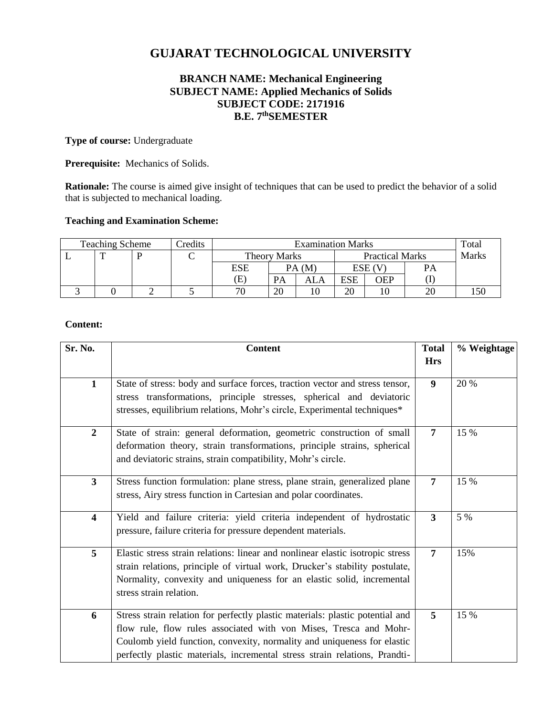# **GUJARAT TECHNOLOGICAL UNIVERSITY**

# **BRANCH NAME: Mechanical Engineering SUBJECT NAME: Applied Mechanics of Solids SUBJECT CODE: 2171916 B.E. 7 thSEMESTER**

# **Type of course:** Undergraduate

**Prerequisite:** Mechanics of Solids.

**Rationale:** The course is aimed give insight of techniques that can be used to predict the behavior of a solid that is subjected to mechanical loading.

# **Teaching and Examination Scheme:**

| Credits<br><b>Teaching Scheme</b> |  |  | <b>Examination Marks</b> |              |           |                        |            | Total  |              |  |
|-----------------------------------|--|--|--------------------------|--------------|-----------|------------------------|------------|--------|--------------|--|
|                                   |  |  |                          | Theory Marks |           | <b>Practical Marks</b> |            |        | <b>Marks</b> |  |
|                                   |  |  |                          | ESE          |           | PA(M)                  |            | ESE (V | PA           |  |
|                                   |  |  |                          | Έ            | <b>PA</b> | ALA                    | <b>ESE</b> | OEP    |              |  |
|                                   |  |  |                          | 70           | 20        |                        | 20         |        | 20           |  |

# **Content:**

| Sr. No.                 | <b>Content</b>                                                                                                                                                                                                                                                                                              | <b>Total</b>   | % Weightage |
|-------------------------|-------------------------------------------------------------------------------------------------------------------------------------------------------------------------------------------------------------------------------------------------------------------------------------------------------------|----------------|-------------|
|                         |                                                                                                                                                                                                                                                                                                             | <b>Hrs</b>     |             |
| $\mathbf{1}$            | State of stress: body and surface forces, traction vector and stress tensor,<br>stress transformations, principle stresses, spherical and deviatoric<br>stresses, equilibrium relations, Mohr's circle, Experimental techniques*                                                                            | 9              | 20 %        |
| $\boldsymbol{2}$        | State of strain: general deformation, geometric construction of small<br>deformation theory, strain transformations, principle strains, spherical<br>and deviatoric strains, strain compatibility, Mohr's circle.                                                                                           | $\overline{7}$ | 15 %        |
| $\overline{\mathbf{3}}$ | Stress function formulation: plane stress, plane strain, generalized plane<br>stress, Airy stress function in Cartesian and polar coordinates.                                                                                                                                                              | 7              | 15 %        |
| $\overline{\mathbf{4}}$ | Yield and failure criteria: yield criteria independent of hydrostatic<br>pressure, failure criteria for pressure dependent materials.                                                                                                                                                                       | $\overline{3}$ | 5 %         |
| 5                       | Elastic stress strain relations: linear and nonlinear elastic isotropic stress<br>strain relations, principle of virtual work, Drucker's stability postulate,<br>Normality, convexity and uniqueness for an elastic solid, incremental<br>stress strain relation.                                           | 7              | 15%         |
| 6                       | Stress strain relation for perfectly plastic materials: plastic potential and<br>flow rule, flow rules associated with von Mises, Tresca and Mohr-<br>Coulomb yield function, convexity, normality and uniqueness for elastic<br>perfectly plastic materials, incremental stress strain relations, Prandti- | 5              | 15 %        |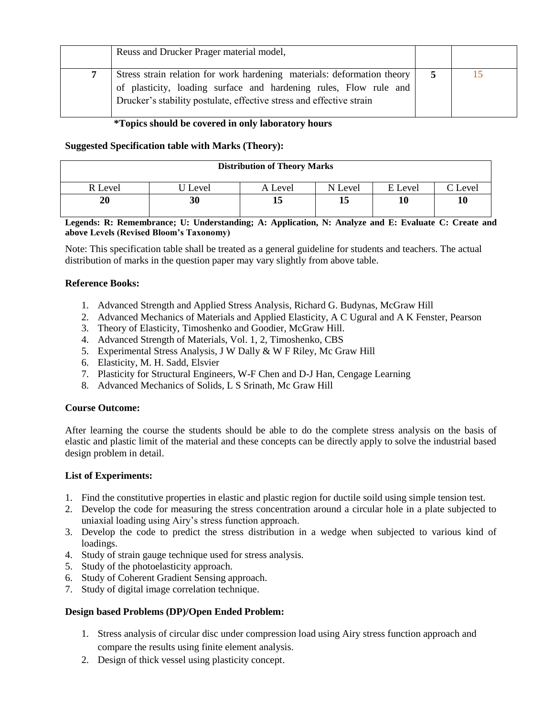| Reuss and Drucker Prager material model,                                                                                                                                                                             |   |  |
|----------------------------------------------------------------------------------------------------------------------------------------------------------------------------------------------------------------------|---|--|
| Stress strain relation for work hardening materials: deformation theory<br>of plasticity, loading surface and hardening rules, Flow rule and<br>Drucker's stability postulate, effective stress and effective strain | 5 |  |

### **\*Topics should be covered in only laboratory hours**

# **Suggested Specification table with Marks (Theory):**

| <b>Distribution of Theory Marks</b> |       |         |         |         |         |  |  |
|-------------------------------------|-------|---------|---------|---------|---------|--|--|
| R Level                             | Level | A Level | N Level | E Level | C Level |  |  |
| 20                                  | 30    |         | 13      | 10      | 10      |  |  |

**Legends: R: Remembrance; U: Understanding; A: Application, N: Analyze and E: Evaluate C: Create and above Levels (Revised Bloom's Taxonomy)**

Note: This specification table shall be treated as a general guideline for students and teachers. The actual distribution of marks in the question paper may vary slightly from above table.

# **Reference Books:**

- 1. Advanced Strength and Applied Stress Analysis, Richard G. Budynas, McGraw Hill
- 2. Advanced Mechanics of Materials and Applied Elasticity, A C Ugural and A K Fenster, Pearson
- 3. Theory of Elasticity, Timoshenko and Goodier, McGraw Hill.
- 4. Advanced Strength of Materials, Vol. 1, 2, Timoshenko, CBS
- 5. Experimental Stress Analysis, J W Dally & W F Riley, Mc Graw Hill
- 6. Elasticity, M. H. Sadd, Elsvier
- 7. Plasticity for Structural Engineers, W-F Chen and D-J Han, Cengage Learning
- 8. Advanced Mechanics of Solids, L S Srinath, Mc Graw Hill

#### **Course Outcome:**

After learning the course the students should be able to do the complete stress analysis on the basis of elastic and plastic limit of the material and these concepts can be directly apply to solve the industrial based design problem in detail.

#### **List of Experiments:**

- 1. Find the constitutive properties in elastic and plastic region for ductile soild using simple tension test.
- 2. Develop the code for measuring the stress concentration around a circular hole in a plate subjected to uniaxial loading using Airy's stress function approach.
- 3. Develop the code to predict the stress distribution in a wedge when subjected to various kind of loadings.
- 4. Study of strain gauge technique used for stress analysis.
- 5. Study of the photoelasticity approach.
- 6. Study of Coherent Gradient Sensing approach.
- 7. Study of digital image correlation technique.

#### **Design based Problems (DP)/Open Ended Problem:**

- 1. Stress analysis of circular disc under compression load using Airy stress function approach and compare the results using finite element analysis.
- 2. Design of thick vessel using plasticity concept.